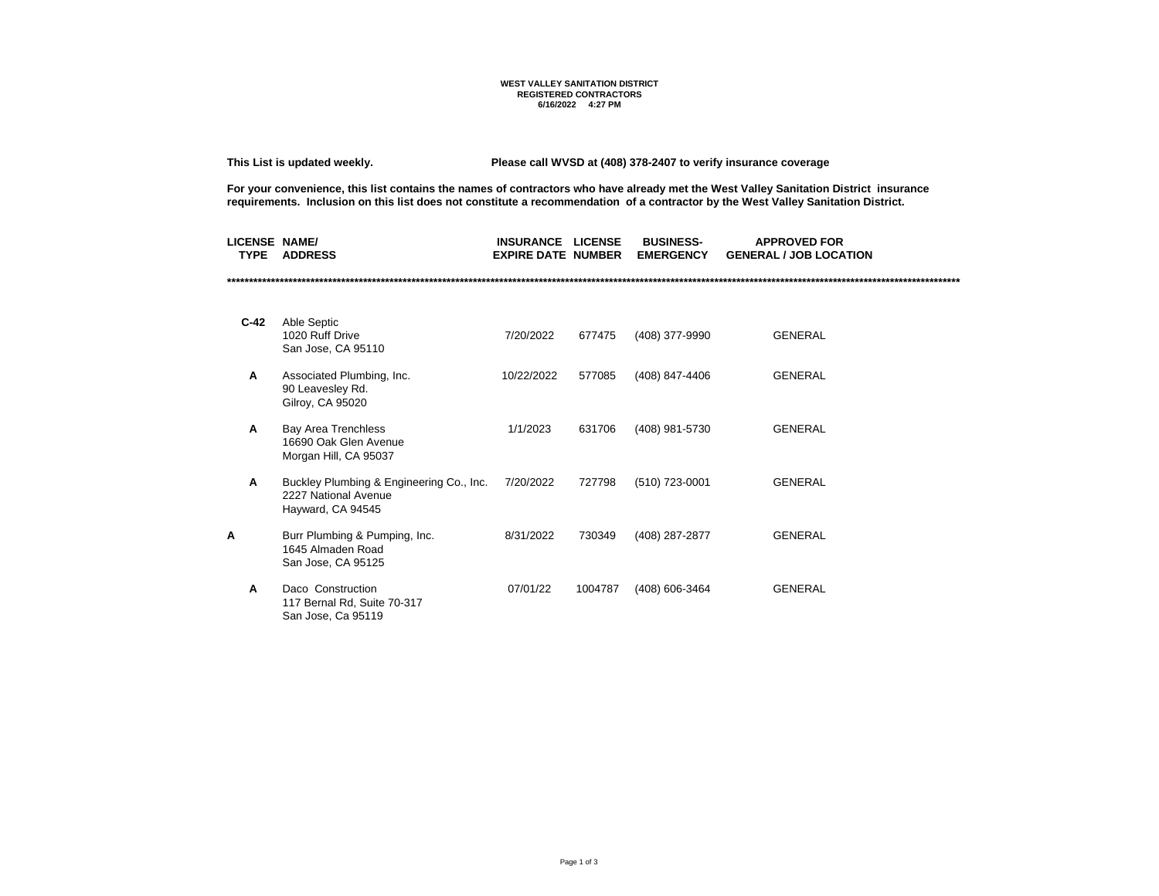## **WEST VALLEY SANITATION DISTRICT REGISTERED CONTRACTORS 6/16/2022 4:27 PM**

**This List is updated weekly. Please call WVSD at (408) 378-2407 to verify insurance coverage** 

**For your convenience, this list contains the names of contractors who have already met the West Valley Sanitation District insurance requirements. Inclusion on this list does not constitute a recommendation of a contractor by the West Valley Sanitation District.**

| <b>LICENSE NAME/</b><br><b>TYPE</b> | <b>ADDRESS</b>                                                                        | INSURANCE<br><b>EXPIRE DATE NUMBER</b> | <b>LICENSE</b> | <b>BUSINESS-</b><br><b>EMERGENCY</b> | <b>APPROVED FOR</b><br><b>GENERAL / JOB LOCATION</b> |  |
|-------------------------------------|---------------------------------------------------------------------------------------|----------------------------------------|----------------|--------------------------------------|------------------------------------------------------|--|
|                                     |                                                                                       |                                        |                |                                      |                                                      |  |
| $C-42$                              | Able Septic<br>1020 Ruff Drive<br>San Jose, CA 95110                                  | 7/20/2022                              | 677475         | (408) 377-9990                       | <b>GENERAL</b>                                       |  |
| А                                   | Associated Plumbing, Inc.<br>90 Leavesley Rd.<br>Gilroy, CA 95020                     | 10/22/2022                             | 577085         | (408) 847-4406                       | <b>GENERAL</b>                                       |  |
| A                                   | Bay Area Trenchless<br>16690 Oak Glen Avenue<br>Morgan Hill, CA 95037                 | 1/1/2023                               | 631706         | (408) 981-5730                       | <b>GENERAL</b>                                       |  |
| A                                   | Buckley Plumbing & Engineering Co., Inc.<br>2227 National Avenue<br>Hayward, CA 94545 | 7/20/2022                              | 727798         | (510) 723-0001                       | <b>GENERAL</b>                                       |  |
| Α                                   | Burr Plumbing & Pumping, Inc.<br>1645 Almaden Road<br>San Jose, CA 95125              | 8/31/2022                              | 730349         | (408) 287-2877                       | <b>GENERAL</b>                                       |  |
| A                                   | Daco Construction<br>117 Bernal Rd, Suite 70-317<br>San Jose, Ca 95119                | 07/01/22                               | 1004787        | (408) 606-3464                       | <b>GENERAL</b>                                       |  |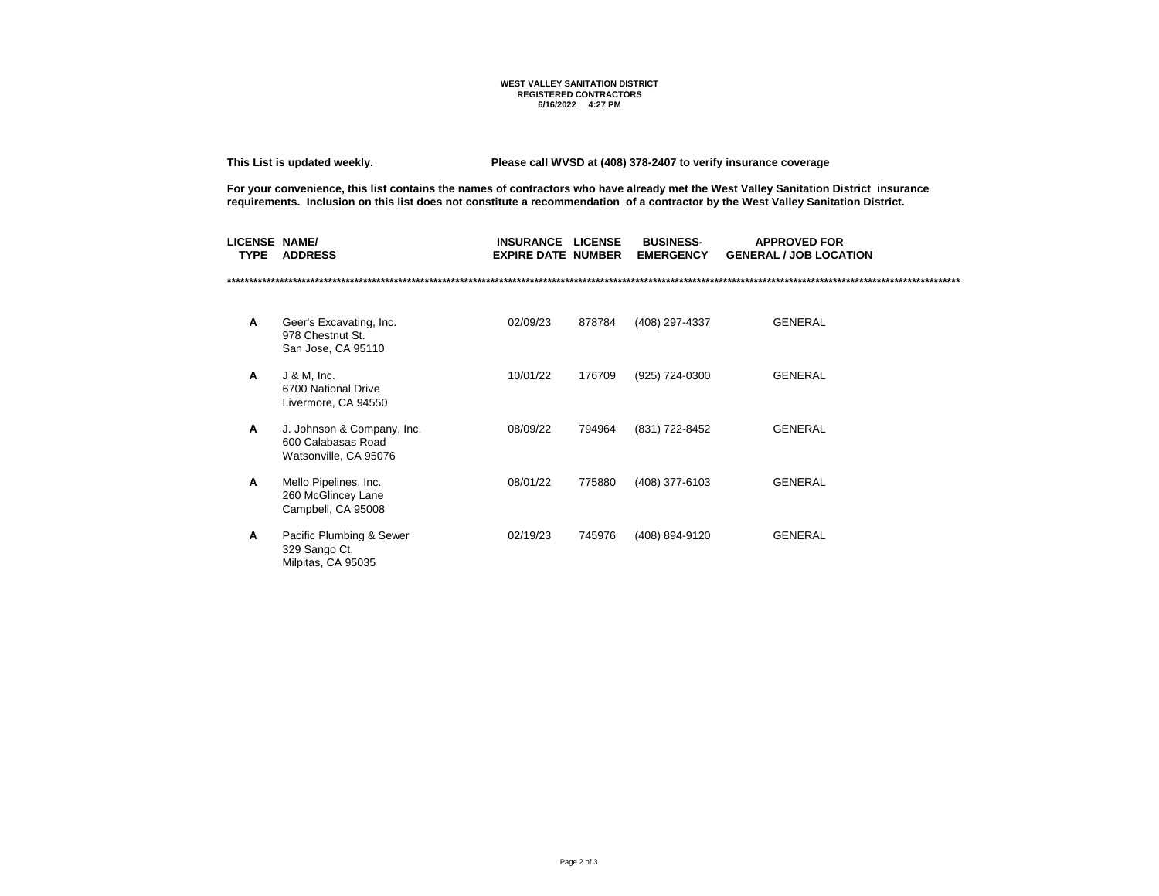## **WEST VALLEY SANITATION DISTRICT REGISTERED CONTRACTORS 6/16/2022 4:27 PM**

**This List is updated weekly. Please call WVSD at (408) 378-2407 to verify insurance coverage** 

**For your convenience, this list contains the names of contractors who have already met the West Valley Sanitation District insurance requirements. Inclusion on this list does not constitute a recommendation of a contractor by the West Valley Sanitation District.**

| <b>LICENSE NAME/</b><br><b>TYPE</b> | <b>ADDRESS</b>                                                            | <b>INSURANCE</b><br><b>EXPIRE DATE NUMBER</b> | <b>LICENSE</b> | <b>BUSINESS-</b><br><b>EMERGENCY</b> | <b>APPROVED FOR</b><br><b>GENERAL / JOB LOCATION</b> |  |
|-------------------------------------|---------------------------------------------------------------------------|-----------------------------------------------|----------------|--------------------------------------|------------------------------------------------------|--|
|                                     |                                                                           |                                               |                |                                      |                                                      |  |
| Α                                   | Geer's Excavating, Inc.<br>978 Chestnut St.<br>San Jose, CA 95110         | 02/09/23                                      | 878784         | (408) 297-4337                       | <b>GENERAL</b>                                       |  |
| A                                   | $J$ & M, Inc.<br>6700 National Drive<br>Livermore, CA 94550               | 10/01/22                                      | 176709         | (925) 724-0300                       | <b>GENERAL</b>                                       |  |
| A                                   | J. Johnson & Company, Inc.<br>600 Calabasas Road<br>Watsonville, CA 95076 | 08/09/22                                      | 794964         | (831) 722-8452                       | <b>GENERAL</b>                                       |  |
| Α                                   | Mello Pipelines, Inc.<br>260 McGlincey Lane<br>Campbell, CA 95008         | 08/01/22                                      | 775880         | (408) 377-6103                       | <b>GENERAL</b>                                       |  |
| Α                                   | Pacific Plumbing & Sewer<br>329 Sango Ct.<br>Milpitas, CA 95035           | 02/19/23                                      | 745976         | (408) 894-9120                       | <b>GENERAL</b>                                       |  |